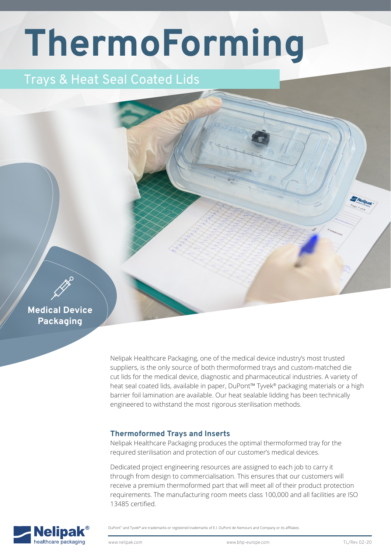# **ThermoForming**

## Trays & Heat Seal Coated Lids

### **Medical Device Packaging**

Nelipak Healthcare Packaging, one of the medical device industry's most trusted suppliers, is the only source of both thermoformed trays and custom-matched die cut lids for the medical device, diagnostic and pharmaceutical industries. A variety of heat seal coated lids, available in paper, DuPont™ Tyvek® packaging materials or a high barrier foil lamination are available. Our heat sealable lidding has been technically engineered to withstand the most rigorous sterilisation methods.

#### **Thermoformed Trays and Inserts**

Nelipak Healthcare Packaging produces the optimal thermoformed tray for the required sterilisation and protection of our customer's medical devices.

Dedicated project engineering resources are assigned to each job to carry it through from design to commercialisation. This ensures that our customers will receive a premium thermoformed part that will meet all of their product protection requirements. The manufacturing room meets class 100,000 and all facilities are ISO 13485 certified.



DuPont™ and Tyvek® are trademarks or registered trademarks of E.I. DuPont de Nemours and Company or its affiliates.